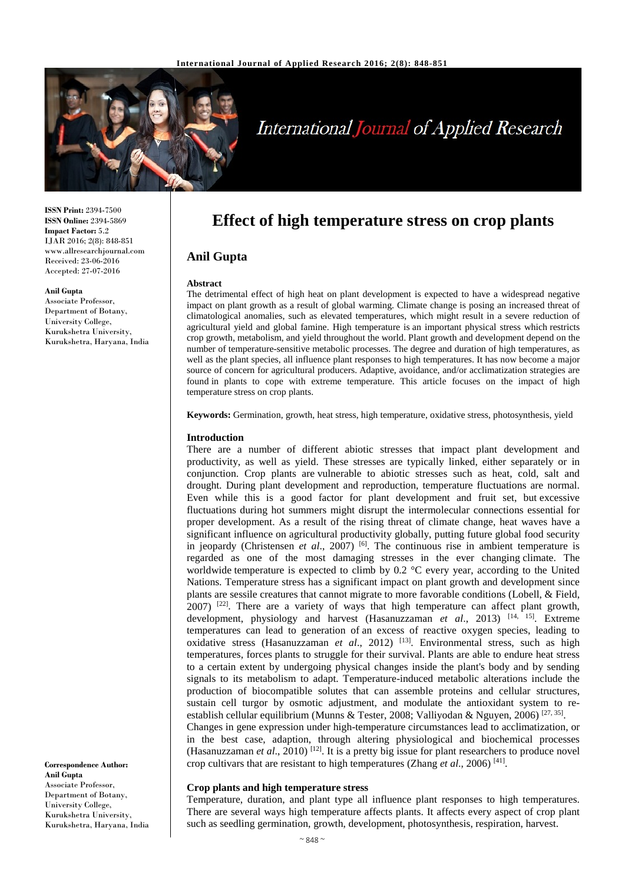

# **International Journal of Applied Research**

**ISSN Print:** 2394-7500 **ISSN Online:** 2394-5869 **Impact Factor:** 5.2 IJAR 2016; 2(8): 848-851 www.allresearchjournal.com Received: 23-06-2016 Accepted: 27-07-2016

#### **Anil Gupta**

Associate Professor, Department of Botany, University College, Kurukshetra University, Kurukshetra, Haryana, India

**Correspondence Author: Anil Gupta** Associate Professor, Department of Botany, University College, Kurukshetra University, Kurukshetra, Haryana, India

# **Effect of high temperature stress on crop plants**

# **Anil Gupta**

#### **Abstract**

The detrimental effect of high heat on plant development is expected to have a widespread negative impact on plant growth as a result of global warming. Climate change is posing an increased threat of climatological anomalies, such as elevated temperatures, which might result in a severe reduction of agricultural yield and global famine. High temperature is an important physical stress which restricts crop growth, metabolism, and yield throughout the world. Plant growth and development depend on the number of temperature-sensitive metabolic processes. The degree and duration of high temperatures, as well as the plant species, all influence plant responses to high temperatures. It has now become a major source of concern for agricultural producers. Adaptive, avoidance, and/or acclimatization strategies are found in plants to cope with extreme temperature. This article focuses on the impact of high temperature stress on crop plants.

**Keywords:** Germination, growth, heat stress, high temperature, oxidative stress, photosynthesis, yield

#### **Introduction**

There are a number of different abiotic stresses that impact plant development and productivity, as well as yield. These stresses are typically linked, either separately or in conjunction. Crop plants are vulnerable to abiotic stresses such as heat, cold, salt and drought. During plant development and reproduction, temperature fluctuations are normal. Even while this is a good factor for plant development and fruit set, but excessive fluctuations during hot summers might disrupt the intermolecular connections essential for proper development. As a result of the rising threat of climate change, heat waves have a significant influence on agricultural productivity globally, putting future global food security in jeopardy (Christensen *et al*., 2007) [6] . The continuous rise in ambient temperature is regarded as one of the most damaging stresses in the ever changing climate. The worldwide temperature is expected to climb by 0.2 °C every year, according to the United Nations. Temperature stress has a significant impact on plant growth and development since plants are sessile creatures that cannot migrate to more favorable conditions (Lobell, & Field,  $2007$ ) <sup>[22]</sup>. There are a variety of ways that high temperature can affect plant growth, development, physiology and harvest (Hasanuzzaman *et al.*, 2013)<sup>[14, 15]</sup>. Extreme temperatures can lead to generation of an excess of reactive oxygen species, leading to oxidative stress (Hasanuzzaman *et al.*, 2012)<sup>[13]</sup>. Environmental stress, such as high temperatures, forces plants to struggle for their survival. Plants are able to endure heat stress to a certain extent by undergoing physical changes inside the plant's body and by sending signals to its metabolism to adapt. Temperature-induced metabolic alterations include the production of biocompatible solutes that can assemble proteins and cellular structures, sustain cell turgor by osmotic adjustment, and modulate the antioxidant system to reestablish cellular equilibrium (Munns & Tester, 2008; Valliyodan & Nguyen, 2006)<sup>[27, 35]</sup>. Changes in gene expression under high-temperature circumstances lead to acclimatization, or

in the best case, adaption, through altering physiological and biochemical processes (Hasanuzzaman *et al.*, 2010)<sup>[12]</sup>. It is a pretty big issue for plant researchers to produce novel crop cultivars that are resistant to high temperatures (Zhang *et al*., 2006) [41] .

#### **Crop plants and high temperature stress**

Temperature, duration, and plant type all influence plant responses to high temperatures. There are several ways high temperature affects plants. It affects every aspect of crop plant such as seedling germination, growth, development, photosynthesis, respiration, harvest.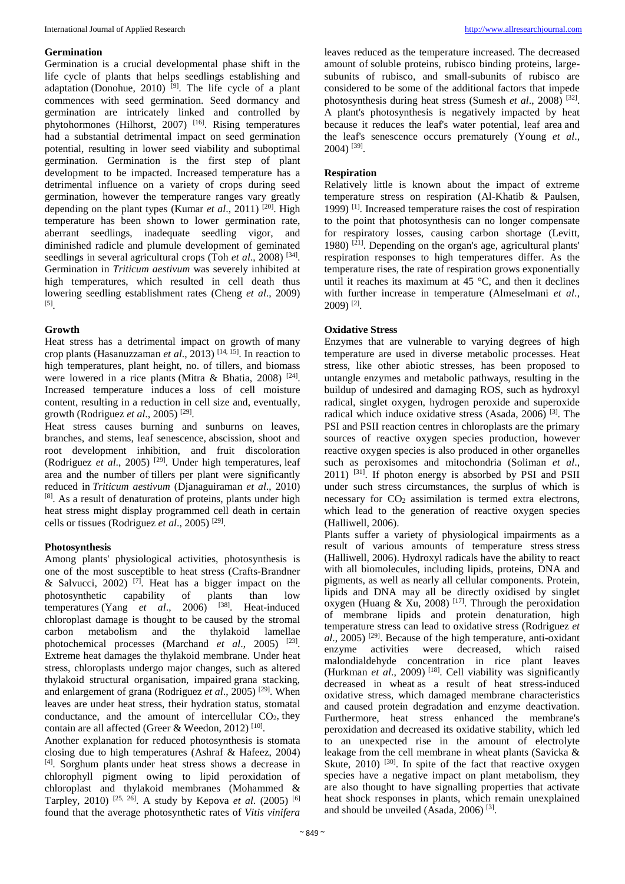# **Germination**

Germination is a crucial developmental phase shift in the life cycle of plants that helps seedlings establishing and adaptation (Donohue,  $2010$ )<sup>[9]</sup>. The life cycle of a plant commences with seed germination. Seed dormancy and germination are intricately linked and controlled by phytohormones (Hilhorst, 2007)<sup>[16]</sup>. Rising temperatures had a substantial detrimental impact on seed germination potential, resulting in lower seed viability and suboptimal germination. Germination is the first step of plant development to be impacted. Increased temperature has a detrimental influence on a variety of crops during seed germination, however the temperature ranges vary greatly depending on the plant types (Kumar *et al.*, 2011)<sup>[20]</sup>. High temperature has been shown to lower germination rate, aberrant seedlings, inadequate seedling vigor, and diminished radicle and plumule development of geminated seedlings in several agricultural crops (Toh *et al.*, 2008)<sup>[34]</sup>. Germination in *Triticum aestivum* was severely inhibited at high temperatures, which resulted in cell death thus lowering seedling establishment rates (Cheng *et al*., 2009) [5] .

# **Growth**

Heat stress has a detrimental impact on growth of many crop plants (Hasanuzzaman *et al*., 2013) [14, 15] . In reaction to high temperatures, plant height, no. of tillers, and biomass were lowered in a rice plants (Mitra & Bhatia, 2008)<sup>[24]</sup>. Increased temperature induces a loss of cell moisture content, resulting in a reduction in cell size and, eventually, growth (Rodriguez *et al*., 2005) [29] .

Heat stress causes burning and sunburns on leaves, branches, and stems, leaf senescence, abscission, shoot and root development inhibition, and fruit discoloration (Rodriguez et al., 2005)<sup>[29]</sup>. Under high temperatures, leaf area and the number of tillers per plant were significantly reduced in *Triticum aestivum* (Djanaguiraman *et al*., 2010) [8] . As a result of denaturation of proteins, plants under high heat stress might display programmed cell death in certain cells or tissues (Rodriguez *et al*., 2005) [29] .

# **Photosynthesis**

Among plants' physiological activities, photosynthesis is one of the most susceptible to heat stress (Crafts-Brandner & Salvucci, 2002)<sup>[7]</sup>. Heat has a bigger impact on the photosynthetic capability of plants than low temperatures (Yang *et al.*, 2006) <sup>[38]</sup>. Heat-induced chloroplast damage is thought to be caused by the stromal carbon metabolism and the thylakoid lamellae photochemical processes (Marchand *et al.*, 2005)<sup>[23]</sup>. Extreme heat damages the thylakoid membrane. Under heat stress, chloroplasts undergo major changes, such as altered thylakoid structural organisation, impaired grana stacking, and enlargement of grana (Rodriguez *et al.*, 2005)<sup>[29]</sup>. When leaves are under heat stress, their hydration status, stomatal conductance, and the amount of intercellular  $CO<sub>2</sub>$ , they contain are all affected (Greer & Weedon, 2012)<sup>[10]</sup>.

Another explanation for reduced photosynthesis is stomata closing due to high temperatures (Ashraf & Hafeez, 2004) [4] . Sorghum plants under heat stress shows a decrease in chlorophyll pigment owing to lipid peroxidation of chloroplast and thylakoid membranes (Mohammed & Tarpley, 2010) [25, 26] . A study by Kepova *et al*. (2005) [6] found that the average photosynthetic rates of *Vitis vinifera*

leaves reduced as the temperature increased. The decreased amount of soluble proteins, rubisco binding proteins, largesubunits of rubisco, and small-subunits of rubisco are considered to be some of the additional factors that impede photosynthesis during heat stress (Sumesh *et al*., 2008) [32]. A plant's photosynthesis is negatively impacted by heat because it reduces the leaf's water potential, leaf area and the leaf's senescence occurs prematurely (Young *et al*., 2004) [39] .

#### **Respiration**

Relatively little is known about the impact of extreme temperature stress on respiration (Al-Khatib & Paulsen, 1999)<sup>[1]</sup>. Increased temperature raises the cost of respiration to the point that photosynthesis can no longer compensate for respiratory losses, causing carbon shortage (Levitt, 1980)<sup>[21]</sup>. Depending on the organ's age, agricultural plants' respiration responses to high temperatures differ. As the temperature rises, the rate of respiration grows exponentially until it reaches its maximum at  $45^{\circ}$ C, and then it declines with further increase in temperature (Almeselmani *et al*., 2009) [2] .

# **Oxidative Stress**

Enzymes that are vulnerable to varying degrees of high temperature are used in diverse metabolic processes. Heat stress, like other abiotic stresses, has been proposed to untangle enzymes and metabolic pathways, resulting in the buildup of undesired and damaging ROS, such as hydroxyl radical, singlet oxygen, hydrogen peroxide and superoxide radical which induce oxidative stress (Asada, 2006) [3] . The PSI and PSII reaction centres in chloroplasts are the primary sources of reactive oxygen species production, however reactive oxygen species is also produced in other organelles such as peroxisomes and mitochondria (Soliman *et al*.,  $2011$ ) <sup>[31]</sup>. If photon energy is absorbed by PSI and PSII under such stress circumstances, the surplus of which is necessary for  $CO<sub>2</sub>$  assimilation is termed extra electrons, which lead to the generation of reactive oxygen species (Halliwell, 2006).

Plants suffer a variety of physiological impairments as a result of various amounts of temperature stress stress (Halliwell, 2006). Hydroxyl radicals have the ability to react with all biomolecules, including lipids, proteins, DNA and pigments, as well as nearly all cellular components. Protein, lipids and DNA may all be directly oxidised by singlet oxygen (Huang & Xu, 2008)<sup>[17]</sup>. Through the peroxidation of membrane lipids and protein denaturation, high temperature stress can lead to oxidative stress (Rodriguez *et al*., 2005) [29] . Because of the high temperature, anti-oxidant enzyme activities were decreased, which raised malondialdehyde concentration in rice plant leaves (Hurkman *et al*., 2009) [18] . Cell viability was significantly decreased in wheat as a result of heat stress-induced oxidative stress, which damaged membrane characteristics and caused protein degradation and enzyme deactivation. Furthermore, heat stress enhanced the membrane's peroxidation and decreased its oxidative stability, which led to an unexpected rise in the amount of electrolyte leakage from the cell membrane in wheat plants (Savicka & Skute,  $2010$ )  $^{[30]}$ . In spite of the fact that reactive oxygen species have a negative impact on plant metabolism, they are also thought to have signalling properties that activate heat shock responses in plants, which remain unexplained and should be unveiled (Asada, 2006)<sup>[3]</sup>.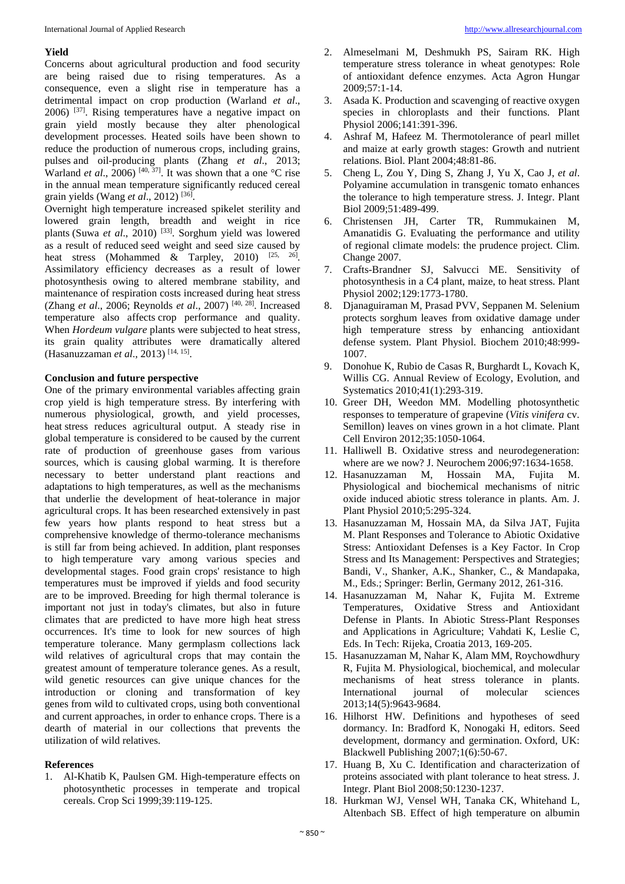# **Yield**

Concerns about agricultural production and food security are being raised due to rising temperatures. As a consequence, even a slight rise in temperature has a detrimental impact on crop production (Warland *et al*.,  $2006$ )  $^{[37]}$ . Rising temperatures have a negative impact on grain yield mostly because they alter phenological development processes. Heated soils have been shown to reduce the production of numerous crops, including grains, pulses and oil-producing plants (Zhang *et al*., 2013; Warland *et al.*, 2006)<sup>[40, 37]</sup>. It was shown that a one  ${}^{\circ}C$  rise in the annual mean temperature significantly reduced cereal grain yields (Wang *et al*., 2012) [36] .

Overnight high temperature increased spikelet sterility and lowered grain length, breadth and weight in rice plants (Suwa et al., 2010)<sup>[33]</sup>. Sorghum yield was lowered as a result of reduced seed weight and seed size caused by heat stress (Mohammed & Tarpley, 2010)  $^{[25, 26]}$ . Assimilatory efficiency decreases as a result of lower photosynthesis owing to altered membrane stability, and maintenance of respiration costs increased during heat stress (Zhang *et al*., 2006; Reynolds *et al*., 2007) [40, 28] . Increased temperature also affects crop performance and quality. When *Hordeum vulgare* plants were subjected to heat stress, its grain quality attributes were dramatically altered (Hasanuzzaman *et al*., 2013) [14, 15] .

#### **Conclusion and future perspective**

One of the primary environmental variables affecting grain crop yield is high temperature stress. By interfering with numerous physiological, growth, and yield processes, heat stress reduces agricultural output. A steady rise in global temperature is considered to be caused by the current rate of production of greenhouse gases from various sources, which is causing global warming. It is therefore necessary to better understand plant reactions and adaptations to high temperatures, as well as the mechanisms that underlie the development of heat-tolerance in major agricultural crops. It has been researched extensively in past few years how plants respond to heat stress but a comprehensive knowledge of thermo-tolerance mechanisms is still far from being achieved. In addition, plant responses to high temperature vary among various species and developmental stages. Food grain crops' resistance to high temperatures must be improved if yields and food security are to be improved. Breeding for high thermal tolerance is important not just in today's climates, but also in future climates that are predicted to have more high heat stress occurrences. It's time to look for new sources of high temperature tolerance. Many germplasm collections lack wild relatives of agricultural crops that may contain the greatest amount of temperature tolerance genes. As a result, wild genetic resources can give unique chances for the introduction or cloning and transformation of key genes from wild to cultivated crops, using both conventional and current approaches, in order to enhance crops. There is a dearth of material in our collections that prevents the utilization of wild relatives.

#### **References**

1. Al-Khatib K, Paulsen GM. High-temperature effects on photosynthetic processes in temperate and tropical cereals. Crop Sci 1999;39:119-125.

- 2. Almeselmani M, Deshmukh PS, Sairam RK. High temperature stress tolerance in wheat genotypes: Role of antioxidant defence enzymes. Acta Agron Hungar 2009;57:1-14.
- 3. Asada K. Production and scavenging of reactive oxygen species in chloroplasts and their functions. Plant Physiol 2006;141:391-396.
- 4. Ashraf M, Hafeez M. Thermotolerance of pearl millet and maize at early growth stages: Growth and nutrient relations. Biol. Plant 2004;48:81-86.
- 5. Cheng L, Zou Y, Ding S, Zhang J, Yu X, Cao J, *et al*. Polyamine accumulation in transgenic tomato enhances the tolerance to high temperature stress. J. Integr. Plant Biol 2009;51:489-499.
- 6. Christensen JH, Carter TR, Rummukainen M, Amanatidis G. Evaluating the performance and utility of regional climate models: the prudence project. Clim. Change 2007*.*
- 7. Crafts-Brandner SJ, Salvucci ME. Sensitivity of photosynthesis in a C4 plant, maize, to heat stress. Plant Physiol 2002;129:1773-1780.
- 8. Djanaguiraman M, Prasad PVV, Seppanen M. Selenium protects sorghum leaves from oxidative damage under high temperature stress by enhancing antioxidant defense system. Plant Physiol. Biochem 2010;48:999- 1007.
- 9. Donohue K, Rubio de Casas R, Burghardt L, Kovach K, Willis CG. Annual Review of Ecology, Evolution, and Systematics 2010;41(1):293-319.
- 10. Greer DH, Weedon MM. Modelling photosynthetic responses to temperature of grapevine (*Vitis vinifera* cv. Semillon) leaves on vines grown in a hot climate. Plant Cell Environ 2012;35:1050-1064.
- 11. Halliwell B. Oxidative stress and neurodegeneration: where are we now? J. Neurochem 2006;97:1634-1658.
- 12. Hasanuzzaman M, Hossain MA, Fujita M. Physiological and biochemical mechanisms of nitric oxide induced abiotic stress tolerance in plants. Am. J. Plant Physiol 2010;5:295-324.
- 13. Hasanuzzaman M, Hossain MA, da Silva JAT, Fujita M. Plant Responses and Tolerance to Abiotic Oxidative Stress: Antioxidant Defenses is a Key Factor. In Crop Stress and Its Management: Perspectives and Strategies; Bandi, V., Shanker, A.K., Shanker, C., & Mandapaka, M., Eds.; Springer: Berlin, Germany 2012, 261-316.
- 14. Hasanuzzaman M, Nahar K, Fujita M. Extreme Temperatures, Oxidative Stress and Antioxidant Defense in Plants. In Abiotic Stress-Plant Responses and Applications in Agriculture; Vahdati K, Leslie C, Eds. In Tech: Rijeka, Croatia 2013, 169-205.
- 15. Hasanuzzaman M, Nahar K, Alam MM, Roychowdhury R, Fujita M. Physiological, biochemical, and molecular mechanisms of heat stress tolerance in plants. International journal of molecular sciences 2013;14(5):9643-9684.
- 16. Hilhorst HW. Definitions and hypotheses of seed dormancy. In: Bradford K, Nonogaki H, editors. Seed development, dormancy and germination. Oxford, UK: Blackwell Publishing 2007;1(6):50-67.
- 17. Huang B, Xu C. Identification and characterization of proteins associated with plant tolerance to heat stress. J. Integr. Plant Biol 2008;50:1230-1237.
- 18. Hurkman WJ, Vensel WH, Tanaka CK, Whitehand L, Altenbach SB. Effect of high temperature on albumin